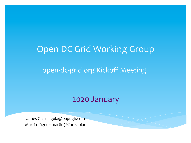#### Open DC Grid Working Group

#### open-dc-grid.org Kickoff Meeting

#### 2020 January

James Gula - jlgula@papugh.com Martin Jäger - martin@libre.solar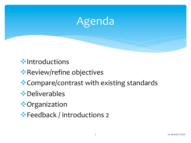

#### $\bullet$ Introductions

\* Review/refine objectives

 $\triangle$  Compare/contrast with existing standards

#### **\*** Deliverables

- **vorganization**
- **Example 2** Feedback / introductions 2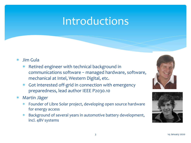## Introductions

- \* Jim Gula
	- \* Retired engineer with technical background in communications software - managed hardware, software, mechanical at Intel, Western Digital, etc.
	- \* Got interested off-grid in connection with emergency preparedness, lead author IEEE P2030.10
- \* Martin Jäger
	- Founder of Libre Solar project, developing open source hardware for energy access
	- \* Background of several years in automotive battery development, incl. 48V systems



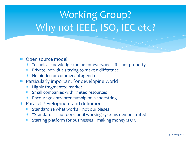# Working Group? Why not IEEE, ISO, IEC etc?

#### \* Open source model

- $*$  Technical knowledge can be for everyone  $-$  it's not property
- $*$  Private individuals trying to make a difference
- \* No hidden or commercial agenda
- Particularly important for developing world
	- \* Highly fragmented market
	- Small companies with limited resources
	- \* Encourage entrepreneurship on a shoestring
- $*$  Parallel development and definition
	- $*$  Standardize what works not our biases
	- \* "Standard" is not done until working systems demonstrated
	- \* Starting platform for businesses making money is OK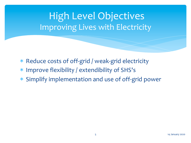#### High Level Objectives Improving Lives with Electricity

- \* Reduce costs of off-grid / weak-grid electricity
- \* Improve flexibility / extendibility of SHS's
- \* Simplify implementation and use of off-grid power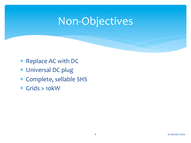## Non-Objectives

- \* Replace AC with DC
- \* Universal DC plug
- \* Complete, sellable SHS
- \* Grids > 10kW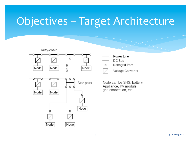# Objectives - Target Architecture



- Power Line
- DC Bus
- Nanogrid Port O



Voltage Converter

Node can be SHS, battery, Appliance, PV module, grid connection, etc.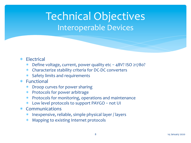Technical Objectives Interoperable Devices

- \* Electrical
	- \* Define voltage, current, power quality etc 48V? ISO 21780?
	- \* Characterize stability criteria for DC-DC converters
	- \* Safety limits and requirements
- \* Functional
	- \* Droop curves for power sharing
	- **Protocols for power arbitrage**
	- \* Protocols for monitoring, operations and maintenance
	- Low level protocols to support PAYGO not UI
- \* Communications
	- \* Inexpensive, reliable, simple physical layer / layers
	- \* Mapping to existing Internet protocols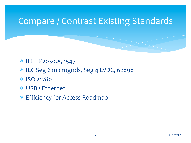#### Compare / Contrast Existing Standards

- \* IEEE P2030.X, 1547
- \* IEC Seg 6 microgrids, Seg 4 LVDC, 62898
- \* ISO 21780
- \* USB / Ethernet
- \* Efficiency for Access Roadmap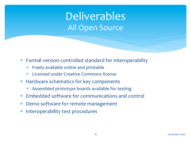## Deliverables All Open Source

- \* Formal version-controlled standard for interoperability
	- $*$  Freely available online and printable
	- \* Licensed under Creative Commons license
- \* Hardware schematics for key components
	- Assembled prototype boards available for testing
- \* Embedded software for communications and control
- \* Demo software for remote management
- \* Interoperability test procedures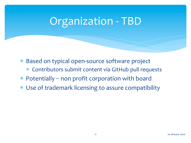## Organization - TBD

- \* Based on typical open-source software project
	- \* Contributors submit content via GitHub pull requests
- $*$  Potentially non profit corporation with board
- \* Use of trademark licensing to assure compatibility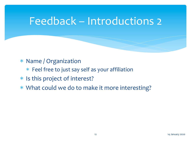## Feedback – Introductions 2

- \* Name / Organization
	- $*$  Feel free to just say self as your affiliation
- \* Is this project of interest?
- \* What could we do to make it more interesting?